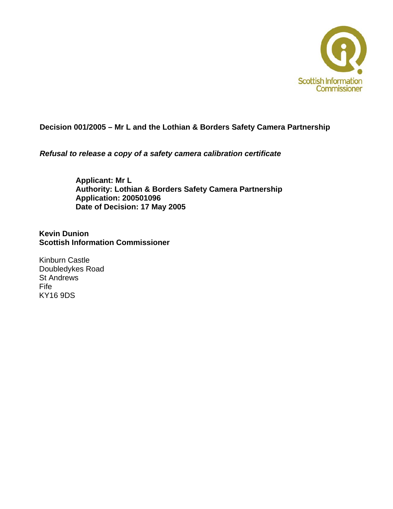

#### **Decision 001/2005 – Mr L and the Lothian & Borders Safety Camera Partnership**

*Refusal to release a copy of a safety camera calibration certificate* 

**Applicant: Mr L Authority: Lothian & Borders Safety Camera Partnership Application: 200501096 Date of Decision: 17 May 2005**

**Kevin Dunion Scottish Information Commissioner** 

Kinburn Castle Doubledykes Road St Andrews Fife KY16 9DS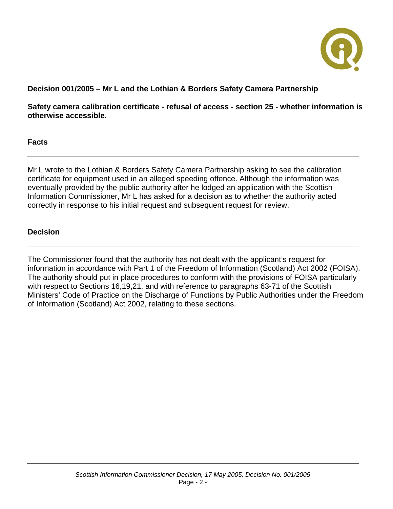

# **Decision 001/2005 – Mr L and the Lothian & Borders Safety Camera Partnership**

**Safety camera calibration certificate - refusal of access - section 25 - whether information is otherwise accessible.** 

#### **Facts**

Mr L wrote to the Lothian & Borders Safety Camera Partnership asking to see the calibration certificate for equipment used in an alleged speeding offence. Although the information was eventually provided by the public authority after he lodged an application with the Scottish Information Commissioner, Mr L has asked for a decision as to whether the authority acted correctly in response to his initial request and subsequent request for review.

#### **Decision**

The Commissioner found that the authority has not dealt with the applicant's request for information in accordance with Part 1 of the Freedom of Information (Scotland) Act 2002 (FOISA). The authority should put in place procedures to conform with the provisions of FOISA particularly with respect to Sections 16,19,21, and with reference to paragraphs 63-71 of the Scottish Ministers' Code of Practice on the Discharge of Functions by Public Authorities under the Freedom of Information (Scotland) Act 2002, relating to these sections.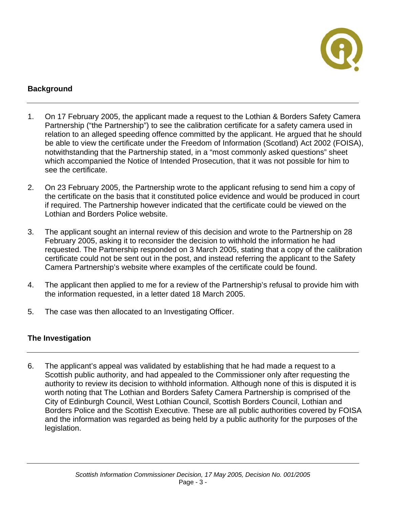

# **Background**

- 1. On 17 February 2005, the applicant made a request to the Lothian & Borders Safety Camera Partnership ("the Partnership") to see the calibration certificate for a safety camera used in relation to an alleged speeding offence committed by the applicant. He argued that he should be able to view the certificate under the Freedom of Information (Scotland) Act 2002 (FOISA), notwithstanding that the Partnership stated, in a "most commonly asked questions" sheet which accompanied the Notice of Intended Prosecution, that it was not possible for him to see the certificate.
- 2. On 23 February 2005, the Partnership wrote to the applicant refusing to send him a copy of the certificate on the basis that it constituted police evidence and would be produced in court if required. The Partnership however indicated that the certificate could be viewed on the Lothian and Borders Police website.
- 3. The applicant sought an internal review of this decision and wrote to the Partnership on 28 February 2005, asking it to reconsider the decision to withhold the information he had requested. The Partnership responded on 3 March 2005, stating that a copy of the calibration certificate could not be sent out in the post, and instead referring the applicant to the Safety Camera Partnership's website where examples of the certificate could be found.
- 4. The applicant then applied to me for a review of the Partnership's refusal to provide him with the information requested, in a letter dated 18 March 2005.
- 5. The case was then allocated to an Investigating Officer.

## **The Investigation**

6. The applicant's appeal was validated by establishing that he had made a request to a Scottish public authority, and had appealed to the Commissioner only after requesting the authority to review its decision to withhold information. Although none of this is disputed it is worth noting that The Lothian and Borders Safety Camera Partnership is comprised of the City of Edinburgh Council, West Lothian Council, Scottish Borders Council, Lothian and Borders Police and the Scottish Executive. These are all public authorities covered by FOISA and the information was regarded as being held by a public authority for the purposes of the legislation.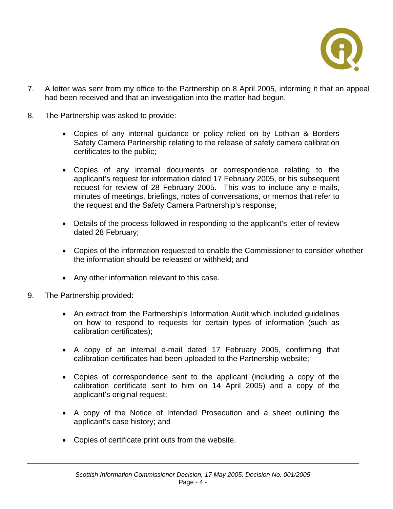

- 7. A letter was sent from my office to the Partnership on 8 April 2005, informing it that an appeal had been received and that an investigation into the matter had begun.
- 8. The Partnership was asked to provide:
	- Copies of any internal guidance or policy relied on by Lothian & Borders Safety Camera Partnership relating to the release of safety camera calibration certificates to the public;
	- Copies of any internal documents or correspondence relating to the applicant's request for information dated 17 February 2005, or his subsequent request for review of 28 February 2005. This was to include any e-mails, minutes of meetings, briefings, notes of conversations, or memos that refer to the request and the Safety Camera Partnership's response;
	- Details of the process followed in responding to the applicant's letter of review dated 28 February;
	- Copies of the information requested to enable the Commissioner to consider whether the information should be released or withheld; and
	- Any other information relevant to this case.
- 9. The Partnership provided:
	- An extract from the Partnership's Information Audit which included guidelines on how to respond to requests for certain types of information (such as calibration certificates);
	- A copy of an internal e-mail dated 17 February 2005, confirming that calibration certificates had been uploaded to the Partnership website;
	- Copies of correspondence sent to the applicant (including a copy of the calibration certificate sent to him on 14 April 2005) and a copy of the applicant's original request;
	- A copy of the Notice of Intended Prosecution and a sheet outlining the applicant's case history; and
	- Copies of certificate print outs from the website.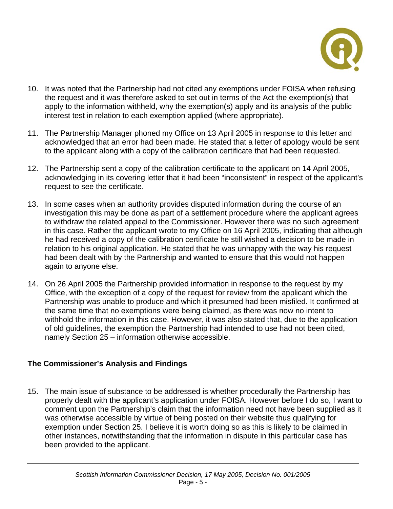

- 10. It was noted that the Partnership had not cited any exemptions under FOISA when refusing the request and it was therefore asked to set out in terms of the Act the exemption(s) that apply to the information withheld, why the exemption(s) apply and its analysis of the public interest test in relation to each exemption applied (where appropriate).
- 11. The Partnership Manager phoned my Office on 13 April 2005 in response to this letter and acknowledged that an error had been made. He stated that a letter of apology would be sent to the applicant along with a copy of the calibration certificate that had been requested.
- 12. The Partnership sent a copy of the calibration certificate to the applicant on 14 April 2005, acknowledging in its covering letter that it had been "inconsistent" in respect of the applicant's request to see the certificate.
- 13. In some cases when an authority provides disputed information during the course of an investigation this may be done as part of a settlement procedure where the applicant agrees to withdraw the related appeal to the Commissioner. However there was no such agreement in this case. Rather the applicant wrote to my Office on 16 April 2005, indicating that although he had received a copy of the calibration certificate he still wished a decision to be made in relation to his original application. He stated that he was unhappy with the way his request had been dealt with by the Partnership and wanted to ensure that this would not happen again to anyone else.
- 14. On 26 April 2005 the Partnership provided information in response to the request by my Office, with the exception of a copy of the request for review from the applicant which the Partnership was unable to produce and which it presumed had been misfiled. It confirmed at the same time that no exemptions were being claimed, as there was now no intent to withhold the information in this case. However, it was also stated that, due to the application of old guidelines, the exemption the Partnership had intended to use had not been cited, namely Section 25 – information otherwise accessible.

## **The Commissioner's Analysis and Findings**

15. The main issue of substance to be addressed is whether procedurally the Partnership has properly dealt with the applicant's application under FOISA. However before I do so, I want to comment upon the Partnership's claim that the information need not have been supplied as it was otherwise accessible by virtue of being posted on their website thus qualifying for exemption under Section 25. I believe it is worth doing so as this is likely to be claimed in other instances, notwithstanding that the information in dispute in this particular case has been provided to the applicant.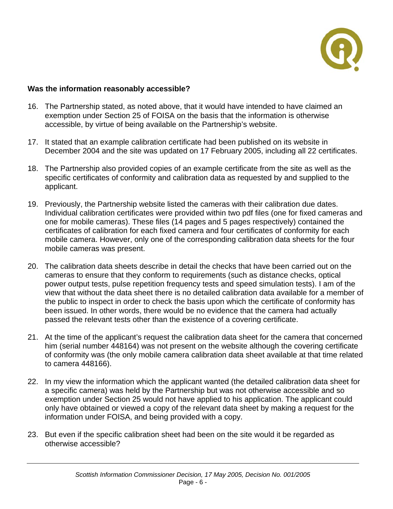

#### **Was the information reasonably accessible?**

- 16. The Partnership stated, as noted above, that it would have intended to have claimed an exemption under Section 25 of FOISA on the basis that the information is otherwise accessible, by virtue of being available on the Partnership's website.
- 17. It stated that an example calibration certificate had been published on its website in December 2004 and the site was updated on 17 February 2005, including all 22 certificates.
- 18. The Partnership also provided copies of an example certificate from the site as well as the specific certificates of conformity and calibration data as requested by and supplied to the applicant.
- 19. Previously, the Partnership website listed the cameras with their calibration due dates. Individual calibration certificates were provided within two pdf files (one for fixed cameras and one for mobile cameras). These files (14 pages and 5 pages respectively) contained the certificates of calibration for each fixed camera and four certificates of conformity for each mobile camera. However, only one of the corresponding calibration data sheets for the four mobile cameras was present.
- 20. The calibration data sheets describe in detail the checks that have been carried out on the cameras to ensure that they conform to requirements (such as distance checks, optical power output tests, pulse repetition frequency tests and speed simulation tests). I am of the view that without the data sheet there is no detailed calibration data available for a member of the public to inspect in order to check the basis upon which the certificate of conformity has been issued. In other words, there would be no evidence that the camera had actually passed the relevant tests other than the existence of a covering certificate.
- 21. At the time of the applicant's request the calibration data sheet for the camera that concerned him (serial number 448164) was not present on the website although the covering certificate of conformity was (the only mobile camera calibration data sheet available at that time related to camera 448166).
- 22. In my view the information which the applicant wanted (the detailed calibration data sheet for a specific camera) was held by the Partnership but was not otherwise accessible and so exemption under Section 25 would not have applied to his application. The applicant could only have obtained or viewed a copy of the relevant data sheet by making a request for the information under FOISA, and being provided with a copy.
- 23. But even if the specific calibration sheet had been on the site would it be regarded as otherwise accessible?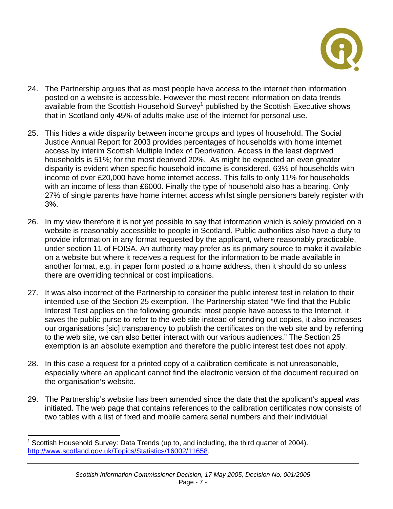

- 24. The Partnership argues that as most people have access to the internet then information posted on a website is accessible. However the most recent information on data trends available from the Scottish Household Survey<sup>1</sup> published by the Scottish Executive shows that in Scotland only 45% of adults make use of the internet for personal use.
- 25. This hides a wide disparity between income groups and types of household. The Social Justice Annual Report for 2003 provides percentages of households with home internet access by interim Scottish Multiple Index of Deprivation. Access in the least deprived households is 51%; for the most deprived 20%. As might be expected an even greater disparity is evident when specific household income is considered. 63% of households with income of over £20,000 have home internet access. This falls to only 11% for households with an income of less than £6000. Finally the type of household also has a bearing. Only 27% of single parents have home internet access whilst single pensioners barely register with 3%.
- 26. In my view therefore it is not yet possible to say that information which is solely provided on a website is reasonably accessible to people in Scotland. Public authorities also have a duty to provide information in any format requested by the applicant, where reasonably practicable, under section 11 of FOISA. An authority may prefer as its primary source to make it available on a website but where it receives a request for the information to be made available in another format, e.g. in paper form posted to a home address, then it should do so unless there are overriding technical or cost implications.
- 27. It was also incorrect of the Partnership to consider the public interest test in relation to their intended use of the Section 25 exemption. The Partnership stated "We find that the Public Interest Test applies on the following grounds: most people have access to the Internet, it saves the public purse to refer to the web site instead of sending out copies, it also increases our organisations [sic] transparency to publish the certificates on the web site and by referring to the web site, we can also better interact with our various audiences." The Section 25 exemption is an absolute exemption and therefore the public interest test does not apply.
- 28. In this case a request for a printed copy of a calibration certificate is not unreasonable, especially where an applicant cannot find the electronic version of the document required on the organisation's website.
- 29. The Partnership's website has been amended since the date that the applicant's appeal was initiated. The web page that contains references to the calibration certificates now consists of two tables with a list of fixed and mobile camera serial numbers and their individual

<span id="page-6-0"></span><sup>&</sup>lt;sup>1</sup> Scottish Household Survey: Data Trends (up to, and including, the third quarter of 2004). [http://www.scotland.gov.uk/Topics/Statistics/16002/11658.](http://www.scotland.gov.uk/Topics/Statistics/16002/11658)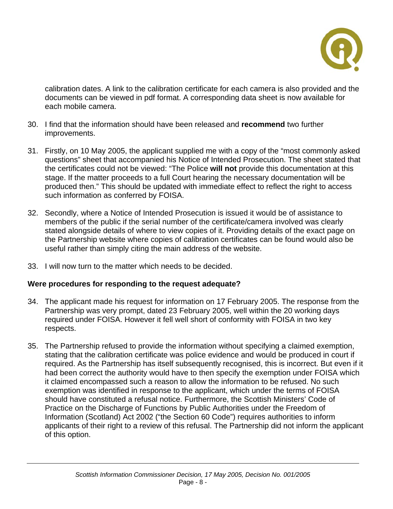

calibration dates. A link to the calibration certificate for each camera is also provided and the documents can be viewed in pdf format. A corresponding data sheet is now available for each mobile camera.

- 30. I find that the information should have been released and **recommend** two further improvements.
- 31. Firstly, on 10 May 2005, the applicant supplied me with a copy of the "most commonly asked questions" sheet that accompanied his Notice of Intended Prosecution. The sheet stated that the certificates could not be viewed: "The Police **will not** provide this documentation at this stage. If the matter proceeds to a full Court hearing the necessary documentation will be produced then." This should be updated with immediate effect to reflect the right to access such information as conferred by FOISA.
- 32. Secondly, where a Notice of Intended Prosecution is issued it would be of assistance to members of the public if the serial number of the certificate/camera involved was clearly stated alongside details of where to view copies of it. Providing details of the exact page on the Partnership website where copies of calibration certificates can be found would also be useful rather than simply citing the main address of the website.
- 33. I will now turn to the matter which needs to be decided.

## **Were procedures for responding to the request adequate?**

- 34. The applicant made his request for information on 17 February 2005. The response from the Partnership was very prompt, dated 23 February 2005, well within the 20 working days required under FOISA. However it fell well short of conformity with FOISA in two key respects.
- 35. The Partnership refused to provide the information without specifying a claimed exemption, stating that the calibration certificate was police evidence and would be produced in court if required. As the Partnership has itself subsequently recognised, this is incorrect. But even if it had been correct the authority would have to then specify the exemption under FOISA which it claimed encompassed such a reason to allow the information to be refused. No such exemption was identified in response to the applicant, which under the terms of FOISA should have constituted a refusal notice. Furthermore, the Scottish Ministers' Code of Practice on the Discharge of Functions by Public Authorities under the Freedom of Information (Scotland) Act 2002 ("the Section 60 Code") requires authorities to inform applicants of their right to a review of this refusal. The Partnership did not inform the applicant of this option.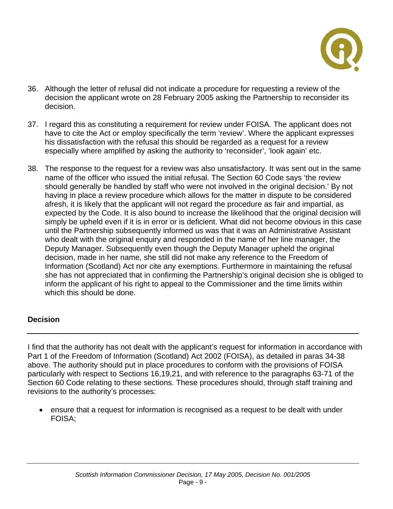

- 36. Although the letter of refusal did not indicate a procedure for requesting a review of the decision the applicant wrote on 28 February 2005 asking the Partnership to reconsider its decision.
- 37. I regard this as constituting a requirement for review under FOISA. The applicant does not have to cite the Act or employ specifically the term 'review'. Where the applicant expresses his dissatisfaction with the refusal this should be regarded as a request for a review especially where amplified by asking the authority to 'reconsider', 'look again' etc.
- 38. The response to the request for a review was also unsatisfactory. It was sent out in the same name of the officer who issued the initial refusal. The Section 60 Code says 'the review should generally be handled by staff who were not involved in the original decision.' By not having in place a review procedure which allows for the matter in dispute to be considered afresh, it is likely that the applicant will not regard the procedure as fair and impartial, as expected by the Code. It is also bound to increase the likelihood that the original decision will simply be upheld even if it is in error or is deficient. What did not become obvious in this case until the Partnership subsequently informed us was that it was an Administrative Assistant who dealt with the original enquiry and responded in the name of her line manager, the Deputy Manager. Subsequently even though the Deputy Manager upheld the original decision, made in her name, she still did not make any reference to the Freedom of Information (Scotland) Act nor cite any exemptions. Furthermore in maintaining the refusal she has not appreciated that in confirming the Partnership's original decision she is obliged to inform the applicant of his right to appeal to the Commissioner and the time limits within which this should be done.

## **Decision**

I find that the authority has not dealt with the applicant's request for information in accordance with Part 1 of the Freedom of Information (Scotland) Act 2002 (FOISA), as detailed in paras 34-38 above. The authority should put in place procedures to conform with the provisions of FOISA particularly with respect to Sections 16,19,21, and with reference to the paragraphs 63-71 of the Section 60 Code relating to these sections. These procedures should, through staff training and revisions to the authority's processes:

• ensure that a request for information is recognised as a request to be dealt with under FOISA;